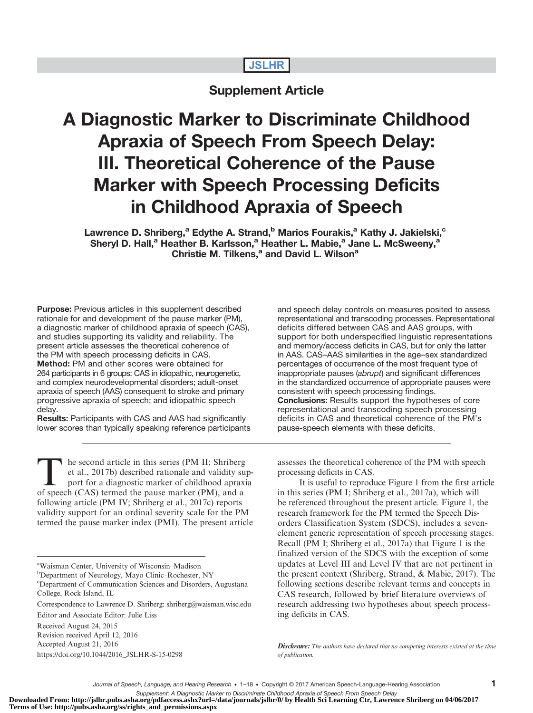## JSLHR

# Supplement Article

# A Diagnostic Marker to Discriminate Childhood Apraxia of Speech From Speech Delay: III. Theoretical Coherence of the Pause Marker with Speech Processing Deficits in Childhood Apraxia of Speech

Lawrence D. Shriberg,<sup>a</sup> Edythe A. Strand,<sup>b</sup> Marios Fourakis,<sup>a</sup> Kathy J. Jakielski,<sup>c</sup> Sheryl D. Hall,<sup>a</sup> Heather B. Karlsson,<sup>a</sup> Heather L. Mabie,<sup>a</sup> Jane L. McSweeny,<sup>a</sup> Christie M. Tilkens.<sup>a</sup> and David L. Wilson<sup>a</sup>

**Purpose:** Previous articles in this supplement described rationale for and development of the pause marker (PM), a diagnostic marker of childhood apraxia of speech (CAS), and studies supporting its validity and reliability. The present article assesses the theoretical coherence of the PM with speech processing deficits in CAS. Method: PM and other scores were obtained for 264 participants in 6 groups: CAS in idiopathic, neurogenetic, and complex neurodevelopmental disorders; adult-onset apraxia of speech (AAS) consequent to stroke and primary progressive apraxia of speech; and idiopathic speech delay.

Results: Participants with CAS and AAS had significantly lower scores than typically speaking reference participants

he second article in this series (PM II; Shriberg et al., 2017b) described rationale and validity support for a diagnostic marker of childhood apraxia of speech (CAS) termed the pause marker (PM), and a following article (PM IV; Shriberg et al., 2017c) reports validity support for an ordinal severity scale for the PM termed the pause marker index (PMI). The present article

<sup>b</sup>Department of Neurology, Mayo Clinic-Rochester, NY

c Department of Communication Sciences and Disorders, Augustana College, Rock Island, IL

Revision received April 12, 2016 Accepted August 21, 2016

[https://doi.org/10.1044/2016\\_JSLHR-S-15-0298](https://doi.org/10.1044/2016_JSLHR-S-15-0298)

and speech delay controls on measures posited to assess representational and transcoding processes. Representational deficits differed between CAS and AAS groups, with support for both underspecified linguistic representations and memory/access deficits in CAS, but for only the latter in AAS. CAS–AAS similarities in the age–sex standardized percentages of occurrence of the most frequent type of inappropriate pauses (abrupt) and significant differences in the standardized occurrence of appropriate pauses were consistent with speech processing findings. Conclusions: Results support the hypotheses of core representational and transcoding speech processing deficits in CAS and theoretical coherence of the PM's pause-speech elements with these deficits.

assesses the theoretical coherence of the PM with speech processing deficits in CAS.

It is useful to reproduce Figure 1 from the first article in this series (PM I; Shriberg et al., 2017a), which will be referenced throughout the present article. Figure 1, the research framework for the PM termed the Speech Disorders Classification System (SDCS), includes a sevenelement generic representation of speech processing stages. Recall (PM I; Shriberg et al., 2017a) that Figure 1 is the finalized version of the SDCS with the exception of some updates at Level III and Level IV that are not pertinent in the present context (Shriberg, Strand, & Mabie, 2017). The following sections describe relevant terms and concepts in CAS research, followed by brief literature overviews of research addressing two hypotheses about speech processing deficits in CAS.

Supplement: A Diagnostic Marker to Discriminate Childhood Apraxia of Speech From Speech Delay<br>Downloaded From: http://jslhr.pubs.asha.org/pdfaccess.ashx?url=/data/journals/jslhr/0/ by Health Sci Learning Ctr, Lawrence Shri **Terms of Use: http://pubs.asha.org/ss/rights\_and\_permissions.aspx**

a Waisman Center, University of Wisconsin–Madison

Correspondence to Lawrence D. Shriberg: shriberg@waisman.wisc.edu

Editor and Associate Editor: Julie Liss

Received August 24, 2015

**Disclosure:** The authors have declared that no competing interests existed at the time of publication.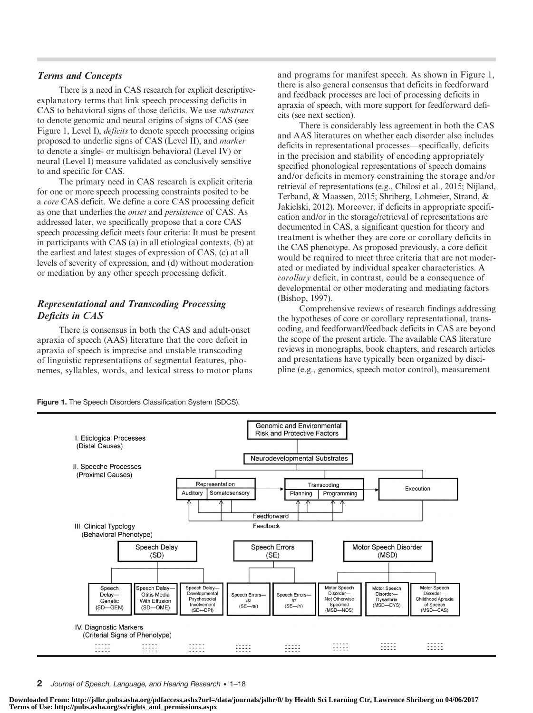### Terms and Concepts

There is a need in CAS research for explicit descriptiveexplanatory terms that link speech processing deficits in CAS to behavioral signs of those deficits. We use substrates to denote genomic and neural origins of signs of CAS (see Figure 1, Level I), *deficits* to denote speech processing origins proposed to underlie signs of CAS (Level II), and marker to denote a single- or multisign behavioral (Level IV) or neural (Level I) measure validated as conclusively sensitive to and specific for CAS.

The primary need in CAS research is explicit criteria for one or more speech processing constraints posited to be a core CAS deficit. We define a core CAS processing deficit as one that underlies the onset and persistence of CAS. As addressed later, we specifically propose that a core CAS speech processing deficit meets four criteria: It must be present in participants with CAS (a) in all etiological contexts, (b) at the earliest and latest stages of expression of CAS, (c) at all levels of severity of expression, and (d) without moderation or mediation by any other speech processing deficit.

## Representational and Transcoding Processing Deficits in CAS

There is consensus in both the CAS and adult-onset apraxia of speech (AAS) literature that the core deficit in apraxia of speech is imprecise and unstable transcoding of linguistic representations of segmental features, phonemes, syllables, words, and lexical stress to motor plans and programs for manifest speech. As shown in Figure 1, there is also general consensus that deficits in feedforward and feedback processes are loci of processing deficits in apraxia of speech, with more support for feedforward deficits (see next section).

There is considerably less agreement in both the CAS and AAS literatures on whether each disorder also includes deficits in representational processes—specifically, deficits in the precision and stability of encoding appropriately specified phonological representations of speech domains and/or deficits in memory constraining the storage and/or retrieval of representations (e.g., Chilosi et al., 2015; Nijland, Terband, & Maassen, 2015; Shriberg, Lohmeier, Strand, & Jakielski, 2012). Moreover, if deficits in appropriate specification and/or in the storage/retrieval of representations are documented in CAS, a significant question for theory and treatment is whether they are core or corollary deficits in the CAS phenotype. As proposed previously, a core deficit would be required to meet three criteria that are not moderated or mediated by individual speaker characteristics. A corollary deficit, in contrast, could be a consequence of developmental or other moderating and mediating factors (Bishop, 1997).

Comprehensive reviews of research findings addressing the hypotheses of core or corollary representational, transcoding, and feedforward/feedback deficits in CAS are beyond the scope of the present article. The available CAS literature reviews in monographs, book chapters, and research articles and presentations have typically been organized by discipline (e.g., genomics, speech motor control), measurement

Figure 1. The Speech Disorders Classification System (SDCS).



2 Journal of Speech, Language, and Hearing Research • 1–18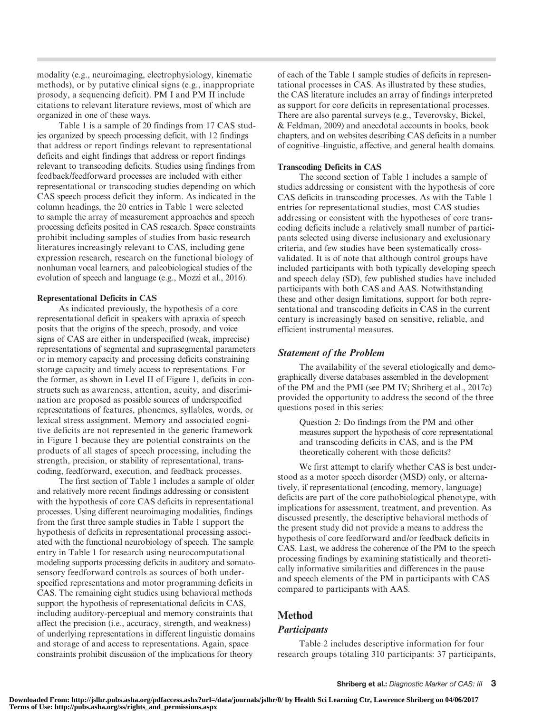modality (e.g., neuroimaging, electrophysiology, kinematic methods), or by putative clinical signs (e.g., inappropriate prosody, a sequencing deficit). PM I and PM II include citations to relevant literature reviews, most of which are organized in one of these ways.

Table 1 is a sample of 20 findings from 17 CAS studies organized by speech processing deficit, with 12 findings that address or report findings relevant to representational deficits and eight findings that address or report findings relevant to transcoding deficits. Studies using findings from feedback/feedforward processes are included with either representational or transcoding studies depending on which CAS speech process deficit they inform. As indicated in the column headings, the 20 entries in Table 1 were selected to sample the array of measurement approaches and speech processing deficits posited in CAS research. Space constraints prohibit including samples of studies from basic research literatures increasingly relevant to CAS, including gene expression research, research on the functional biology of nonhuman vocal learners, and paleobiological studies of the evolution of speech and language (e.g., Mozzi et al., 2016).

#### Representational Deficits in CAS

As indicated previously, the hypothesis of a core representational deficit in speakers with apraxia of speech posits that the origins of the speech, prosody, and voice signs of CAS are either in underspecified (weak, imprecise) representations of segmental and suprasegmental parameters or in memory capacity and processing deficits constraining storage capacity and timely access to representations. For the former, as shown in Level II of Figure 1, deficits in constructs such as awareness, attention, acuity, and discrimination are proposed as possible sources of underspecified representations of features, phonemes, syllables, words, or lexical stress assignment. Memory and associated cognitive deficits are not represented in the generic framework in Figure 1 because they are potential constraints on the products of all stages of speech processing, including the strength, precision, or stability of representational, transcoding, feedforward, execution, and feedback processes.

The first section of Table 1 includes a sample of older and relatively more recent findings addressing or consistent with the hypothesis of core CAS deficits in representational processes. Using different neuroimaging modalities, findings from the first three sample studies in Table 1 support the hypothesis of deficits in representational processing associated with the functional neurobiology of speech. The sample entry in Table 1 for research using neurocomputational modeling supports processing deficits in auditory and somatosensory feedforward controls as sources of both underspecified representations and motor programming deficits in CAS. The remaining eight studies using behavioral methods support the hypothesis of representational deficits in CAS, including auditory-perceptual and memory constraints that affect the precision (i.e., accuracy, strength, and weakness) of underlying representations in different linguistic domains and storage of and access to representations. Again, space constraints prohibit discussion of the implications for theory

of each of the Table 1 sample studies of deficits in representational processes in CAS. As illustrated by these studies, the CAS literature includes an array of findings interpreted as support for core deficits in representational processes. There are also parental surveys (e.g., Teverovsky, Bickel, & Feldman, 2009) and anecdotal accounts in books, book chapters, and on websites describing CAS deficits in a number of cognitive–linguistic, affective, and general health domains.

#### Transcoding Deficits in CAS

The second section of Table 1 includes a sample of studies addressing or consistent with the hypothesis of core CAS deficits in transcoding processes. As with the Table 1 entries for representational studies, most CAS studies addressing or consistent with the hypotheses of core transcoding deficits include a relatively small number of participants selected using diverse inclusionary and exclusionary criteria, and few studies have been systematically crossvalidated. It is of note that although control groups have included participants with both typically developing speech and speech delay (SD), few published studies have included participants with both CAS and AAS. Notwithstanding these and other design limitations, support for both representational and transcoding deficits in CAS in the current century is increasingly based on sensitive, reliable, and efficient instrumental measures.

#### Statement of the Problem

The availability of the several etiologically and demographically diverse databases assembled in the development of the PM and the PMI (see PM IV; Shriberg et al., 2017c) provided the opportunity to address the second of the three questions posed in this series:

Question 2: Do findings from the PM and other measures support the hypothesis of core representational and transcoding deficits in CAS, and is the PM theoretically coherent with those deficits?

We first attempt to clarify whether CAS is best understood as a motor speech disorder (MSD) only, or alternatively, if representational (encoding, memory, language) deficits are part of the core pathobiological phenotype, with implications for assessment, treatment, and prevention. As discussed presently, the descriptive behavioral methods of the present study did not provide a means to address the hypothesis of core feedforward and/or feedback deficits in CAS. Last, we address the coherence of the PM to the speech processing findings by examining statistically and theoretically informative similarities and differences in the pause and speech elements of the PM in participants with CAS compared to participants with AAS.

## Method

#### **Participants**

Table 2 includes descriptive information for four research groups totaling 310 participants: 37 participants,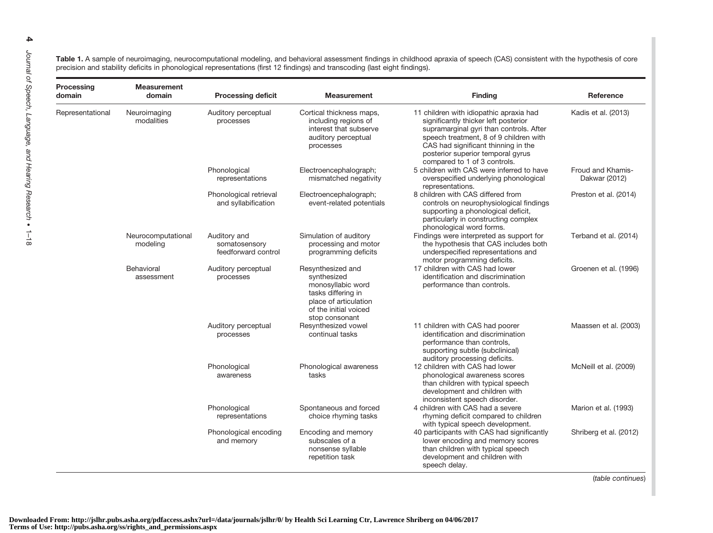Table 1. A sample of neuroimaging, neurocomputational modeling, and behavioral assessment findings in childhood apraxia of speech (CAS) consistent with the hypothesis of core precision and stability deficits in phonological representations (first 12 findings) and transcoding (last eight findings).

| Processing<br><b>Measurement</b><br>domain<br>domain |                                | <b>Processing deficit</b>                            | <b>Measurement</b>                                                                                                                              | <b>Finding</b>                                                                                                                                                                                                                                                                   | Reference                          |  |  |
|------------------------------------------------------|--------------------------------|------------------------------------------------------|-------------------------------------------------------------------------------------------------------------------------------------------------|----------------------------------------------------------------------------------------------------------------------------------------------------------------------------------------------------------------------------------------------------------------------------------|------------------------------------|--|--|
| Representational                                     | Neuroimaging<br>modalities     | Auditory perceptual<br>processes                     | Cortical thickness maps,<br>including regions of<br>interest that subserve<br>auditory perceptual<br>processes                                  | 11 children with idiopathic apraxia had<br>significantly thicker left posterior<br>supramarginal gyri than controls. After<br>speech treatment, 8 of 9 children with<br>CAS had significant thinning in the<br>posterior superior temporal gyrus<br>compared to 1 of 3 controls. | Kadis et al. (2013)                |  |  |
|                                                      |                                | Phonological<br>representations                      | Electroencephalograph;<br>mismatched negativity                                                                                                 | 5 children with CAS were inferred to have<br>overspecified underlying phonological<br>representations.                                                                                                                                                                           | Froud and Khamis-<br>Dakwar (2012) |  |  |
|                                                      |                                | Phonological retrieval<br>and syllabification        | Electroencephalograph;<br>event-related potentials                                                                                              | 8 children with CAS differed from<br>controls on neurophysiological findings<br>supporting a phonological deficit,<br>particularly in constructing complex<br>phonological word forms.                                                                                           | Preston et al. (2014)              |  |  |
|                                                      | Neurocomputational<br>modeling | Auditory and<br>somatosensory<br>feedforward control | Simulation of auditory<br>processing and motor<br>programming deficits                                                                          | Findings were interpreted as support for<br>the hypothesis that CAS includes both<br>underspecified representations and<br>motor programming deficits.                                                                                                                           | Terband et al. (2014)              |  |  |
|                                                      | Behavioral<br>assessment       | Auditory perceptual<br>processes                     | Resynthesized and<br>synthesized<br>monosyllabic word<br>tasks differing in<br>place of articulation<br>of the initial voiced<br>stop consonant | 17 children with CAS had lower<br>identification and discrimination<br>performance than controls.                                                                                                                                                                                | Groenen et al. (1996)              |  |  |
|                                                      |                                | Auditory perceptual<br>processes                     | Resynthesized vowel<br>continual tasks                                                                                                          | 11 children with CAS had poorer<br>identification and discrimination<br>performance than controls,<br>supporting subtle (subclinical)<br>auditory processing deficits.                                                                                                           | Maassen et al. (2003)              |  |  |
|                                                      |                                | Phonological<br>awareness                            | Phonological awareness<br>tasks                                                                                                                 | 12 children with CAS had lower<br>phonological awareness scores<br>than children with typical speech<br>development and children with<br>inconsistent speech disorder.                                                                                                           | McNeill et al. (2009)              |  |  |
|                                                      |                                | Phonological<br>representations                      | Spontaneous and forced<br>choice rhyming tasks                                                                                                  | 4 children with CAS had a severe<br>rhyming deficit compared to children<br>with typical speech development.                                                                                                                                                                     | Marion et al. (1993)               |  |  |
|                                                      |                                | Phonological encoding<br>and memory                  | Encoding and memory<br>subscales of a<br>nonsense syllable<br>repetition task                                                                   | 40 participants with CAS had significantly<br>lower encoding and memory scores<br>than children with typical speech<br>development and children with<br>speech delay.                                                                                                            | Shriberg et al. (2012)             |  |  |

(table continues)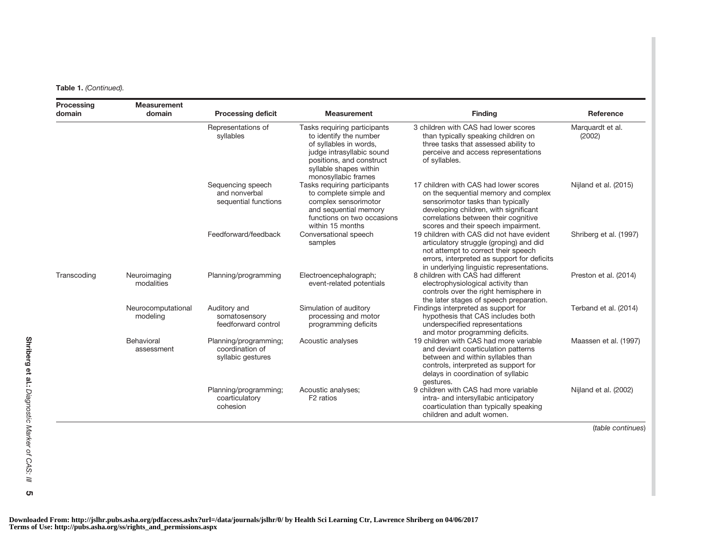Table 1. (Continued).

| Processing<br>domain | <b>Measurement</b><br>domain   | <b>Processing deficit</b>                                     | <b>Measurement</b>                                                                                                                                                                         | <b>Finding</b>                                                                                                                                                                                                                             | Reference                          |
|----------------------|--------------------------------|---------------------------------------------------------------|--------------------------------------------------------------------------------------------------------------------------------------------------------------------------------------------|--------------------------------------------------------------------------------------------------------------------------------------------------------------------------------------------------------------------------------------------|------------------------------------|
|                      |                                | Representations of<br>syllables                               | Tasks requiring participants<br>to identify the number<br>of syllables in words,<br>judge intrasyllabic sound<br>positions, and construct<br>syllable shapes within<br>monosyllabic frames | 3 children with CAS had lower scores<br>than typically speaking children on<br>three tasks that assessed ability to<br>perceive and access representations<br>of syllables.                                                                | Marquardt et al.<br>(2002)         |
|                      |                                | Sequencing speech<br>and nonverbal<br>sequential functions    | Tasks requiring participants<br>to complete simple and<br>complex sensorimotor<br>and sequential memory<br>functions on two occasions<br>within 15 months                                  | 17 children with CAS had lower scores<br>on the sequential memory and complex<br>sensorimotor tasks than typically<br>developing children, with significant<br>correlations between their cognitive<br>scores and their speech impairment. | Nijland et al. (2015)              |
|                      |                                | Feedforward/feedback                                          | Conversational speech<br>samples                                                                                                                                                           | 19 children with CAS did not have evident<br>articulatory struggle (groping) and did<br>not attempt to correct their speech<br>errors, interpreted as support for deficits<br>in underlying linguistic representations.                    | Shriberg et al. (1997)             |
| Transcoding          | Neuroimaging<br>modalities     | Planning/programming                                          | Electroencephalograph;<br>event-related potentials                                                                                                                                         | 8 children with CAS had different<br>electrophysiological activity than<br>controls over the right hemisphere in<br>the later stages of speech preparation.                                                                                | Preston et al. (2014)              |
|                      | Neurocomputational<br>modeling | Auditory and<br>somatosensory<br>feedforward control          | Simulation of auditory<br>processing and motor<br>programming deficits                                                                                                                     | Findings interpreted as support for<br>hypothesis that CAS includes both<br>underspecified representations<br>and motor programming deficits.                                                                                              | Terband et al. (2014)              |
|                      | Behavioral<br>assessment       | Planning/programming;<br>coordination of<br>syllabic gestures | Acoustic analyses                                                                                                                                                                          | 19 children with CAS had more variable<br>and deviant coarticulation patterns<br>between and within syllables than<br>controls, interpreted as support for<br>delays in coordination of syllabic<br>gestures.                              | Maassen et al. (1997)              |
|                      |                                | Planning/programming;<br>coarticulatory<br>cohesion           | Acoustic analyses;<br>F <sub>2</sub> ratios                                                                                                                                                | 9 children with CAS had more variable<br>intra- and intersyllabic anticipatory<br>coarticulation than typically speaking<br>children and adult women.                                                                                      | Nijland et al. (2002)<br>$(4 - 1)$ |

(table continues)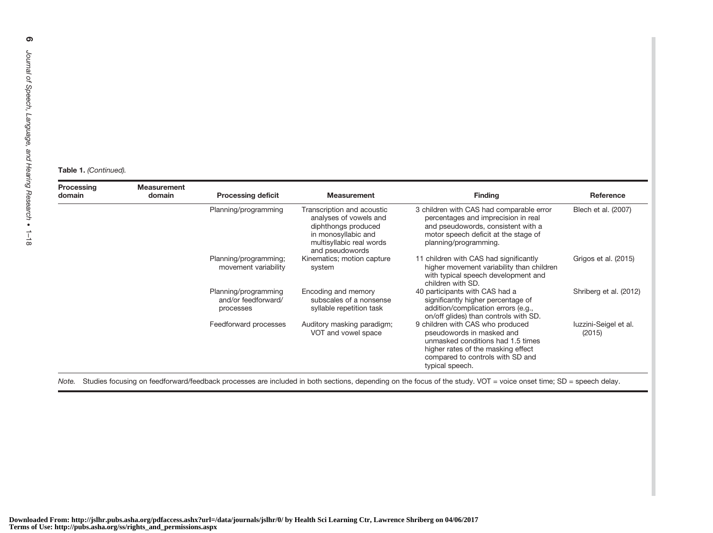#### Table 1. (Continued).

| Processing<br><b>Measurement</b><br>domain<br>domain |  | <b>Processing deficit</b>                                | <b>Measurement</b>                                                                                                                                | <b>Finding</b>                                                                                                                                                                                  | Reference                       |
|------------------------------------------------------|--|----------------------------------------------------------|---------------------------------------------------------------------------------------------------------------------------------------------------|-------------------------------------------------------------------------------------------------------------------------------------------------------------------------------------------------|---------------------------------|
|                                                      |  | Planning/programming                                     | Transcription and acoustic<br>analyses of vowels and<br>diphthongs produced<br>in monosyllabic and<br>multisyllabic real words<br>and pseudowords | 3 children with CAS had comparable error<br>percentages and imprecision in real<br>and pseudowords, consistent with a<br>motor speech deficit at the stage of<br>planning/programming.          | Blech et al. (2007)             |
|                                                      |  | Planning/programming;<br>movement variability            | Kinematics; motion capture<br>system                                                                                                              | 11 children with CAS had significantly<br>higher movement variability than children<br>with typical speech development and<br>children with SD.                                                 | Grigos et al. (2015)            |
|                                                      |  | Planning/programming<br>and/or feedforward/<br>processes | Encoding and memory<br>subscales of a nonsense<br>syllable repetition task                                                                        | 40 participants with CAS had a<br>significantly higher percentage of<br>addition/complication errors (e.g.,<br>on/off glides) than controls with SD.                                            | Shriberg et al. (2012)          |
|                                                      |  | Feedforward processes                                    | Auditory masking paradigm;<br>VOT and vowel space                                                                                                 | 9 children with CAS who produced<br>pseudowords in masked and<br>unmasked conditions had 1.5 times<br>higher rates of the masking effect<br>compared to controls with SD and<br>typical speech. | luzzini-Seigel et al.<br>(2015) |

Note. Studies focusing on feedforward/feedback processes are included in both sections, depending on the focus of the study. VOT <sup>=</sup> voice onset time; SD <sup>=</sup> speech delay.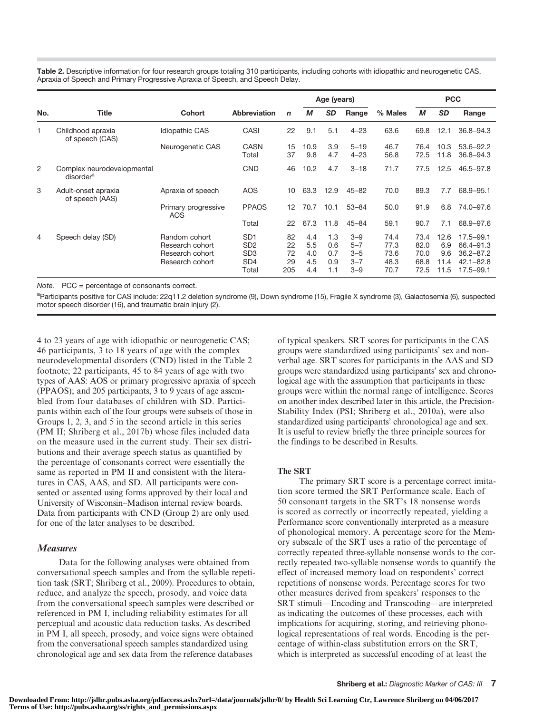Table 2. Descriptive information for four research groups totaling 310 participants, including cohorts with idiopathic and neurogenetic CAS, Apraxia of Speech and Primary Progressive Apraxia of Speech, and Speech Delay.

|     |                                                     |                                                                        |                                                                                   |                             | Age (years)                     |                                 |                                                     |                                      | <b>PCC</b>                           |                                    |                                                                               |  |
|-----|-----------------------------------------------------|------------------------------------------------------------------------|-----------------------------------------------------------------------------------|-----------------------------|---------------------------------|---------------------------------|-----------------------------------------------------|--------------------------------------|--------------------------------------|------------------------------------|-------------------------------------------------------------------------------|--|
| No. | <b>Title</b>                                        | <b>Cohort</b>                                                          | Abbreviation                                                                      | $\mathbf n$                 | М                               | <b>SD</b>                       | Range                                               | % Males                              | М                                    | <b>SD</b>                          | Range                                                                         |  |
| 1   | Childhood apraxia<br>of speech (CAS)                | <b>Idiopathic CAS</b>                                                  | CASI                                                                              | 22                          | 9.1                             | 5.1                             | $4 - 23$                                            | 63.6                                 | 69.8                                 | 12.1                               | $36.8 - 94.3$                                                                 |  |
|     |                                                     | Neurogenetic CAS                                                       | <b>CASN</b><br>Total                                                              | 15<br>37                    | 10.9<br>9.8                     | 3.9<br>4.7                      | $5 - 19$<br>$4 - 23$                                | 46.7<br>56.8                         | 76.4<br>72.5                         | 10.3<br>11.8                       | $53.6 - 92.2$<br>$36.8 - 94.3$                                                |  |
| 2   | Complex neurodevelopmental<br>disorder <sup>a</sup> |                                                                        | <b>CND</b>                                                                        | 46                          | 10.2                            | 4.7                             | $3 - 18$                                            | 71.7                                 | 77.5                                 | 12.5                               | 46.5-97.8                                                                     |  |
| 3   | Adult-onset apraxia<br>of speech (AAS)              | Apraxia of speech                                                      | AOS                                                                               | 10                          | 63.3                            | 12.9                            | $45 - 82$                                           | 70.0                                 | 89.3                                 | 7.7                                | 68.9-95.1                                                                     |  |
|     |                                                     | Primary progressive<br><b>AOS</b>                                      | <b>PPAOS</b>                                                                      | 12                          | 70.7                            | 10.1                            | $53 - 84$                                           | 50.0                                 | 91.9                                 | 6.8                                | 74.0-97.6                                                                     |  |
|     |                                                     |                                                                        | Total                                                                             | 22                          | 67.3                            | 11.8                            | $45 - 84$                                           | 59.1                                 | 90.7                                 | 7.1                                | 68.9-97.6                                                                     |  |
| 4   | Speech delay (SD)                                   | Random cohort<br>Research cohort<br>Research cohort<br>Research cohort | SD <sub>1</sub><br>SD <sub>2</sub><br>SD <sub>3</sub><br>SD <sub>4</sub><br>Total | 82<br>22<br>72<br>29<br>205 | 4.4<br>5.5<br>4.0<br>4.5<br>4.4 | 1.3<br>0.6<br>0.7<br>0.9<br>1.1 | $3 - 9$<br>$5 - 7$<br>$3 - 5$<br>$3 - 7$<br>$3 - 9$ | 74.4<br>77.3<br>73.6<br>48.3<br>70.7 | 73.4<br>82.0<br>70.0<br>68.8<br>72.5 | 12.6<br>6.9<br>9.6<br>11.4<br>11.5 | $17.5 - 99.1$<br>66.4-91.3<br>$36.2 - 87.2$<br>$42.1 - 82.8$<br>$17.5 - 99.1$ |  |

Note. PCC = percentage of consonants correct.

a<br>Participants positive for CAS include: 22q11.2 deletion syndrome (9), Down syndrome (15), Fragile X syndrome (3), Galactosemia (6), suspected motor speech disorder (16), and traumatic brain injury (2).

4 to 23 years of age with idiopathic or neurogenetic CAS; 46 participants, 3 to 18 years of age with the complex neurodevelopmental disorders (CND) listed in the Table 2 footnote; 22 participants, 45 to 84 years of age with two types of AAS: AOS or primary progressive apraxia of speech (PPAOS); and 205 participants, 3 to 9 years of age assembled from four databases of children with SD. Participants within each of the four groups were subsets of those in Groups 1, 2, 3, and 5 in the second article in this series (PM II; Shriberg et al., 2017b) whose files included data on the measure used in the current study. Their sex distributions and their average speech status as quantified by the percentage of consonants correct were essentially the same as reported in PM II and consistent with the literatures in CAS, AAS, and SD. All participants were consented or assented using forms approved by their local and University of Wisconsin–Madison internal review boards. Data from participants with CND (Group 2) are only used for one of the later analyses to be described.

#### Measures

Data for the following analyses were obtained from conversational speech samples and from the syllable repetition task (SRT; Shriberg et al., 2009). Procedures to obtain, reduce, and analyze the speech, prosody, and voice data from the conversational speech samples were described or referenced in PM I, including reliability estimates for all perceptual and acoustic data reduction tasks. As described in PM I, all speech, prosody, and voice signs were obtained from the conversational speech samples standardized using chronological age and sex data from the reference databases

of typical speakers. SRT scores for participants in the CAS groups were standardized using participants' sex and nonverbal age. SRT scores for participants in the AAS and SD groups were standardized using participants' sex and chronological age with the assumption that participants in these groups were within the normal range of intelligence. Scores on another index described later in this article, the Precision-Stability Index (PSI; Shriberg et al., 2010a), were also standardized using participants' chronological age and sex. It is useful to review briefly the three principle sources for the findings to be described in Results.

#### The SRT

The primary SRT score is a percentage correct imitation score termed the SRT Performance scale. Each of 50 consonant targets in the SRT's 18 nonsense words is scored as correctly or incorrectly repeated, yielding a Performance score conventionally interpreted as a measure of phonological memory. A percentage score for the Memory subscale of the SRT uses a ratio of the percentage of correctly repeated three-syllable nonsense words to the correctly repeated two-syllable nonsense words to quantify the effect of increased memory load on respondents' correct repetitions of nonsense words. Percentage scores for two other measures derived from speakers' responses to the SRT stimuli—Encoding and Transcoding—are interpreted as indicating the outcomes of these processes, each with implications for acquiring, storing, and retrieving phonological representations of real words. Encoding is the percentage of within-class substitution errors on the SRT, which is interpreted as successful encoding of at least the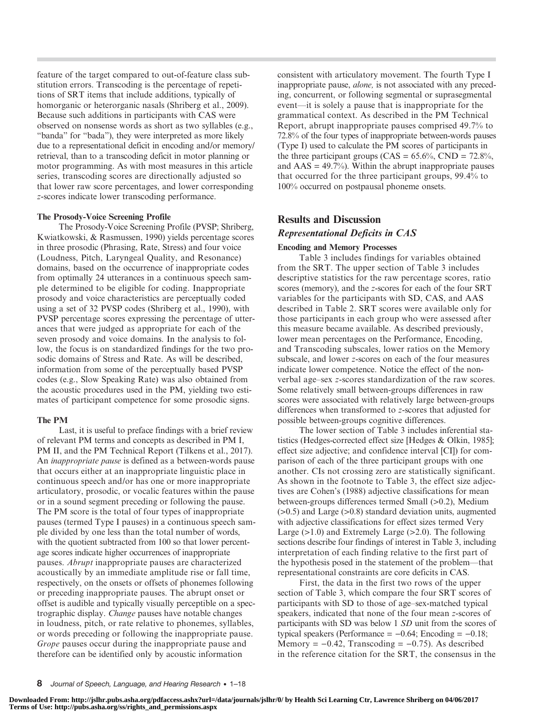feature of the target compared to out-of-feature class substitution errors. Transcoding is the percentage of repetitions of SRT items that include additions, typically of homorganic or heterorganic nasals (Shriberg et al., 2009). Because such additions in participants with CAS were observed on nonsense words as short as two syllables (e.g., "banda" for "bada"), they were interpreted as more likely due to a representational deficit in encoding and/or memory/ retrieval, than to a transcoding deficit in motor planning or motor programming. As with most measures in this article series, transcoding scores are directionally adjusted so that lower raw score percentages, and lower corresponding z-scores indicate lower transcoding performance.

#### The Prosody-Voice Screening Profile

The Prosody-Voice Screening Profile (PVSP; Shriberg, Kwiatkowski, & Rasmussen, 1990) yields percentage scores in three prosodic (Phrasing, Rate, Stress) and four voice (Loudness, Pitch, Laryngeal Quality, and Resonance) domains, based on the occurrence of inappropriate codes from optimally 24 utterances in a continuous speech sample determined to be eligible for coding. Inappropriate prosody and voice characteristics are perceptually coded using a set of 32 PVSP codes (Shriberg et al., 1990), with PVSP percentage scores expressing the percentage of utterances that were judged as appropriate for each of the seven prosody and voice domains. In the analysis to follow, the focus is on standardized findings for the two prosodic domains of Stress and Rate. As will be described, information from some of the perceptually based PVSP codes (e.g., Slow Speaking Rate) was also obtained from the acoustic procedures used in the PM, yielding two estimates of participant competence for some prosodic signs.

#### The PM

Last, it is useful to preface findings with a brief review of relevant PM terms and concepts as described in PM I, PM II, and the PM Technical Report (Tilkens et al., 2017). An inappropriate pause is defined as a between-words pause that occurs either at an inappropriate linguistic place in continuous speech and/or has one or more inappropriate articulatory, prosodic, or vocalic features within the pause or in a sound segment preceding or following the pause. The PM score is the total of four types of inappropriate pauses (termed Type I pauses) in a continuous speech sample divided by one less than the total number of words, with the quotient subtracted from 100 so that lower percentage scores indicate higher occurrences of inappropriate pauses. Abrupt inappropriate pauses are characterized acoustically by an immediate amplitude rise or fall time, respectively, on the onsets or offsets of phonemes following or preceding inappropriate pauses. The abrupt onset or offset is audible and typically visually perceptible on a spectrographic display. Change pauses have notable changes in loudness, pitch, or rate relative to phonemes, syllables, or words preceding or following the inappropriate pause. Grope pauses occur during the inappropriate pause and therefore can be identified only by acoustic information

consistent with articulatory movement. The fourth Type I inappropriate pause, alone, is not associated with any preceding, concurrent, or following segmental or suprasegmental event—it is solely a pause that is inappropriate for the grammatical context. As described in the PM Technical Report, abrupt inappropriate pauses comprised 49.7% to 72.8% of the four types of inappropriate between-words pauses (Type I) used to calculate the PM scores of participants in the three participant groups (CAS =  $65.6\%$ , CND =  $72.8\%$ , and  $\text{AAS} = 49.7\%$ ). Within the abrupt inappropriate pauses that occurred for the three participant groups, 99.4% to 100% occurred on postpausal phoneme onsets.

## Results and Discussion

## Representational Deficits in CAS

#### Encoding and Memory Processes

Table 3 includes findings for variables obtained from the SRT. The upper section of Table 3 includes descriptive statistics for the raw percentage scores, ratio scores (memory), and the z-scores for each of the four SRT variables for the participants with SD, CAS, and AAS described in Table 2. SRT scores were available only for those participants in each group who were assessed after this measure became available. As described previously, lower mean percentages on the Performance, Encoding, and Transcoding subscales, lower ratios on the Memory subscale, and lower z-scores on each of the four measures indicate lower competence. Notice the effect of the nonverbal age–sex z-scores standardization of the raw scores. Some relatively small between-groups differences in raw scores were associated with relatively large between-groups differences when transformed to z-scores that adjusted for possible between-groups cognitive differences.

The lower section of Table 3 includes inferential statistics (Hedges-corrected effect size [Hedges & Olkin, 1985]; effect size adjective; and confidence interval [CI]) for comparison of each of the three participant groups with one another. CIs not crossing zero are statistically significant. As shown in the footnote to Table 3, the effect size adjectives are Cohen's (1988) adjective classifications for mean between-groups differences termed Small (>0.2), Medium (>0.5) and Large (>0.8) standard deviation units, augmented with adjective classifications for effect sizes termed Very Large  $(>1.0)$  and Extremely Large  $(>2.0)$ . The following sections describe four findings of interest in Table 3, including interpretation of each finding relative to the first part of the hypothesis posed in the statement of the problem—that representational constraints are core deficits in CAS.

First, the data in the first two rows of the upper section of Table 3, which compare the four SRT scores of participants with SD to those of age–sex-matched typical speakers, indicated that none of the four mean z-scores of participants with SD was below 1 SD unit from the scores of typical speakers (Performance =  $-0.64$ ; Encoding =  $-0.18$ ; Memory =  $-0.42$ , Transcoding =  $-0.75$ ). As described in the reference citation for the SRT, the consensus in the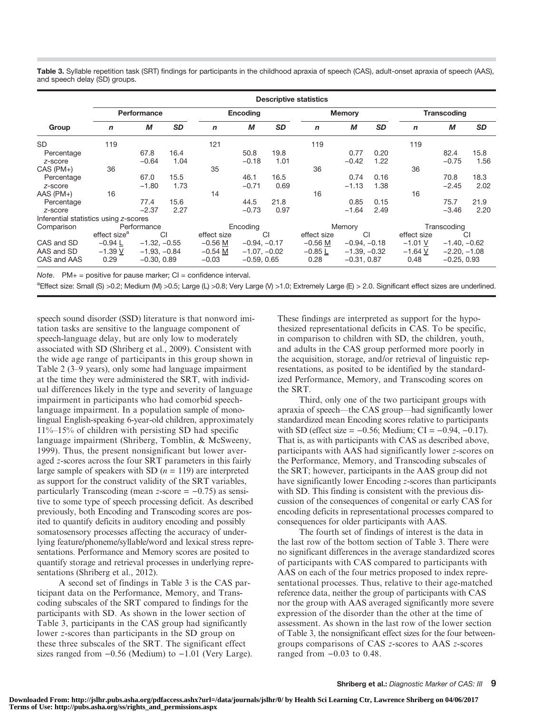Table 3. Syllable repetition task (SRT) findings for participants in the childhood apraxia of speech (CAS), adult-onset apraxia of speech (AAS), and speech delay (SD) groups.

|                                       | <b>Descriptive statistics</b> |                |           |              |                 |           |              |                |           |             |                    |           |  |  |
|---------------------------------------|-------------------------------|----------------|-----------|--------------|-----------------|-----------|--------------|----------------|-----------|-------------|--------------------|-----------|--|--|
|                                       | Performance                   |                |           |              | <b>Encoding</b> |           |              | <b>Memory</b>  |           |             | <b>Transcoding</b> |           |  |  |
| Group                                 | $\mathbf n$                   | M              | <b>SD</b> | $\mathsf{n}$ | M               | <b>SD</b> | $\mathsf{n}$ | М              | <b>SD</b> | $\mathbf n$ | М                  | <b>SD</b> |  |  |
| <b>SD</b>                             | 119                           |                |           | 121          |                 |           | 119          |                |           | 119         |                    |           |  |  |
| Percentage                            |                               | 67.8           | 16.4      |              | 50.8            | 19.8      |              | 0.77           | 0.20      |             | 82.4               | 15.8      |  |  |
| z-score                               |                               | $-0.64$        | 1.04      |              | $-0.18$         | 1.01      |              | $-0.42$        | 1.22      |             | $-0.75$            | 1.56      |  |  |
| $CAS (PM+)$                           | 36                            |                |           | 35           |                 |           | 36           |                |           | 36          |                    |           |  |  |
| Percentage                            |                               | 67.0           | 15.5      |              | 46.1            | 16.5      |              | 0.74           | 0.16      |             | 70.8               | 18.3      |  |  |
| z-score                               |                               | $-1.80$        | 1.73      |              | $-0.71$         | 0.69      |              | $-1.13$        | 1.38      |             | $-2.45$            | 2.02      |  |  |
| $AAS$ ( $PM+$ )                       | 16                            |                |           | 14           |                 |           | 16           |                |           | 16          |                    |           |  |  |
| Percentage                            |                               | 77.4           | 15.6      |              | 44.5            | 21.8      |              | 0.85           | 0.15      |             | 75.7               | 21.9      |  |  |
| z-score                               |                               | $-2.37$        | 2.27      |              | $-0.73$         | 0.97      |              | $-1.64$        | 2.49      |             | $-3.46$            | 2.20      |  |  |
| Inferential statistics using z-scores |                               |                |           |              |                 |           |              |                |           |             |                    |           |  |  |
| Comparison                            |                               | Performance    |           |              | Encoding        |           |              | Memory         |           |             | Transcoding        |           |  |  |
|                                       | effect size <sup>a</sup>      |                | CI        | effect size  |                 | CI        | effect size  | CI             |           | effect size |                    | CI        |  |  |
| CAS and SD                            | $-0.94 L$                     | $-1.32, -0.55$ |           | $-0.56$ M    | $-0.94, -0.17$  |           | $-0.56$ M    | $-0.94, -0.18$ |           | $-1.01$ V   | $-1.40, -0.62$     |           |  |  |
| AAS and SD                            | $-1.39V$                      | $-1.93, -0.84$ |           | $-0.54$ M    | $-1.07, -0.02$  |           | $-0.85 L$    | $-1.39, -0.32$ |           | $-1.64$ V   | $-2.20, -1.08$     |           |  |  |
| CAS and AAS                           | 0.29                          | $-0.30, 0.89$  |           | $-0.03$      | $-0.59, 0.65$   |           | 0.28         | $-0.31, 0.87$  |           | 0.48        | $-0.25, 0.93$      |           |  |  |

Note.  $PM+$  = positive for pause marker;  $CI =$  confidence interval.

aEffect size: Small (S) >0.2; Medium (M) >0.5; Large (L) >0.8; Very Large (V) >1.0; Extremely Large (E) > 2.0. Significant effect sizes are underlined.

speech sound disorder (SSD) literature is that nonword imitation tasks are sensitive to the language component of speech-language delay, but are only low to moderately associated with SD (Shriberg et al., 2009). Consistent with the wide age range of participants in this group shown in Table 2 (3–9 years), only some had language impairment at the time they were administered the SRT, with individual differences likely in the type and severity of language impairment in participants who had comorbid speechlanguage impairment. In a population sample of monolingual English-speaking 6-year-old children, approximately 11%–15% of children with persisting SD had specific language impairment (Shriberg, Tomblin, & McSweeny, 1999). Thus, the present nonsignificant but lower averaged z-scores across the four SRT parameters in this fairly large sample of speakers with SD  $(n = 119)$  are interpreted as support for the construct validity of the SRT variables, particularly Transcoding (mean z-score  $= -0.75$ ) as sensitive to some type of speech processing deficit. As described previously, both Encoding and Transcoding scores are posited to quantify deficits in auditory encoding and possibly somatosensory processes affecting the accuracy of underlying feature/phoneme/syllable/word and lexical stress representations. Performance and Memory scores are posited to quantify storage and retrieval processes in underlying representations (Shriberg et al., 2012).

A second set of findings in Table 3 is the CAS participant data on the Performance, Memory, and Transcoding subscales of the SRT compared to findings for the participants with SD. As shown in the lower section of Table 3, participants in the CAS group had significantly lower z-scores than participants in the SD group on these three subscales of the SRT. The significant effect sizes ranged from −0.56 (Medium) to −1.01 (Very Large). These findings are interpreted as support for the hypothesized representational deficits in CAS. To be specific, in comparison to children with SD, the children, youth, and adults in the CAS group performed more poorly in the acquisition, storage, and/or retrieval of linguistic representations, as posited to be identified by the standardized Performance, Memory, and Transcoding scores on the SRT.

Third, only one of the two participant groups with apraxia of speech—the CAS group—had significantly lower standardized mean Encoding scores relative to participants with SD (effect size =  $-0.56$ ; Medium; CI =  $-0.94, -0.17$ ). That is, as with participants with CAS as described above, participants with AAS had significantly lower z-scores on the Performance, Memory, and Transcoding subscales of the SRT; however, participants in the AAS group did not have significantly lower Encoding z-scores than participants with SD. This finding is consistent with the previous discussion of the consequences of congenital or early CAS for encoding deficits in representational processes compared to consequences for older participants with AAS.

The fourth set of findings of interest is the data in the last row of the bottom section of Table 3. There were no significant differences in the average standardized scores of participants with CAS compared to participants with AAS on each of the four metrics proposed to index representational processes. Thus, relative to their age-matched reference data, neither the group of participants with CAS nor the group with AAS averaged significantly more severe expression of the disorder than the other at the time of assessment. As shown in the last row of the lower section of Table 3, the nonsignificant effect sizes for the four betweengroups comparisons of CAS z-scores to AAS z-scores ranged from −0.03 to 0.48.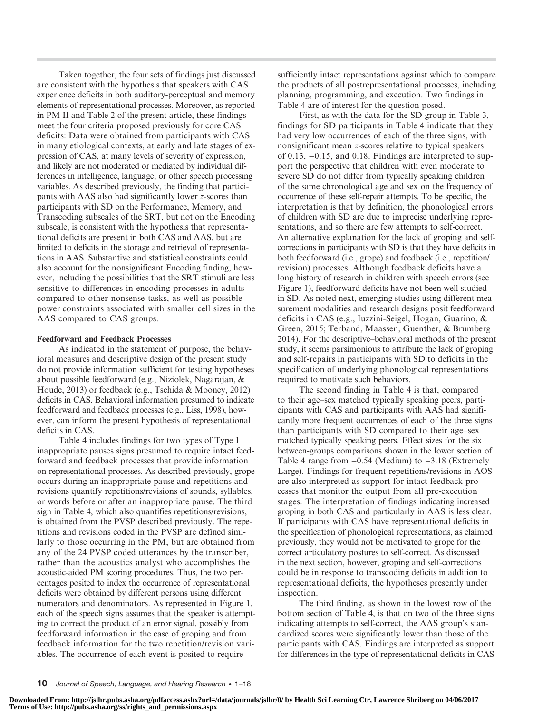Taken together, the four sets of findings just discussed are consistent with the hypothesis that speakers with CAS experience deficits in both auditory-perceptual and memory elements of representational processes. Moreover, as reported in PM II and Table 2 of the present article, these findings meet the four criteria proposed previously for core CAS deficits: Data were obtained from participants with CAS in many etiological contexts, at early and late stages of expression of CAS, at many levels of severity of expression, and likely are not moderated or mediated by individual differences in intelligence, language, or other speech processing variables. As described previously, the finding that participants with AAS also had significantly lower z-scores than participants with SD on the Performance, Memory, and Transcoding subscales of the SRT, but not on the Encoding subscale, is consistent with the hypothesis that representational deficits are present in both CAS and AAS, but are limited to deficits in the storage and retrieval of representations in AAS. Substantive and statistical constraints could also account for the nonsignificant Encoding finding, however, including the possibilities that the SRT stimuli are less sensitive to differences in encoding processes in adults compared to other nonsense tasks, as well as possible power constraints associated with smaller cell sizes in the AAS compared to CAS groups.

#### Feedforward and Feedback Processes

As indicated in the statement of purpose, the behavioral measures and descriptive design of the present study do not provide information sufficient for testing hypotheses about possible feedforward (e.g., Niziolek, Nagarajan, & Houde, 2013) or feedback (e.g., Tschida & Mooney, 2012) deficits in CAS. Behavioral information presumed to indicate feedforward and feedback processes (e.g., Liss, 1998), however, can inform the present hypothesis of representational deficits in CAS.

Table 4 includes findings for two types of Type I inappropriate pauses signs presumed to require intact feedforward and feedback processes that provide information on representational processes. As described previously, grope occurs during an inappropriate pause and repetitions and revisions quantify repetitions/revisions of sounds, syllables, or words before or after an inappropriate pause. The third sign in Table 4, which also quantifies repetitions/revisions, is obtained from the PVSP described previously. The repetitions and revisions coded in the PVSP are defined similarly to those occurring in the PM, but are obtained from any of the 24 PVSP coded utterances by the transcriber, rather than the acoustics analyst who accomplishes the acoustic-aided PM scoring procedures. Thus, the two percentages posited to index the occurrence of representational deficits were obtained by different persons using different numerators and denominators. As represented in Figure 1, each of the speech signs assumes that the speaker is attempting to correct the product of an error signal, possibly from feedforward information in the case of groping and from feedback information for the two repetition/revision variables. The occurrence of each event is posited to require

sufficiently intact representations against which to compare the products of all postrepresentational processes, including planning, programming, and execution. Two findings in Table 4 are of interest for the question posed.

First, as with the data for the SD group in Table 3, findings for SD participants in Table 4 indicate that they had very low occurrences of each of the three signs, with nonsignificant mean z-scores relative to typical speakers of 0.13, −0.15, and 0.18. Findings are interpreted to support the perspective that children with even moderate to severe SD do not differ from typically speaking children of the same chronological age and sex on the frequency of occurrence of these self-repair attempts. To be specific, the interpretation is that by definition, the phonological errors of children with SD are due to imprecise underlying representations, and so there are few attempts to self-correct. An alternative explanation for the lack of groping and selfcorrections in participants with SD is that they have deficits in both feedforward (i.e., grope) and feedback (i.e., repetition/ revision) processes. Although feedback deficits have a long history of research in children with speech errors (see Figure 1), feedforward deficits have not been well studied in SD. As noted next, emerging studies using different measurement modalities and research designs posit feedforward deficits in CAS (e.g., Iuzzini-Seigel, Hogan, Guarino, & Green, 2015; Terband, Maassen, Guenther, & Brumberg 2014). For the descriptive–behavioral methods of the present study, it seems parsimonious to attribute the lack of groping and self-repairs in participants with SD to deficits in the specification of underlying phonological representations required to motivate such behaviors.

The second finding in Table 4 is that, compared to their age–sex matched typically speaking peers, participants with CAS and participants with AAS had significantly more frequent occurrences of each of the three signs than participants with SD compared to their age–sex matched typically speaking peers. Effect sizes for the six between-groups comparisons shown in the lower section of Table 4 range from −0.54 (Medium) to −3.18 (Extremely Large). Findings for frequent repetitions/revisions in AOS are also interpreted as support for intact feedback processes that monitor the output from all pre-execution stages. The interpretation of findings indicating increased groping in both CAS and particularly in AAS is less clear. If participants with CAS have representational deficits in the specification of phonological representations, as claimed previously, they would not be motivated to grope for the correct articulatory postures to self-correct. As discussed in the next section, however, groping and self-corrections could be in response to transcoding deficits in addition to representational deficits, the hypotheses presently under inspection.

The third finding, as shown in the lowest row of the bottom section of Table 4, is that on two of the three signs indicating attempts to self-correct, the AAS group's standardized scores were significantly lower than those of the participants with CAS. Findings are interpreted as support for differences in the type of representational deficits in CAS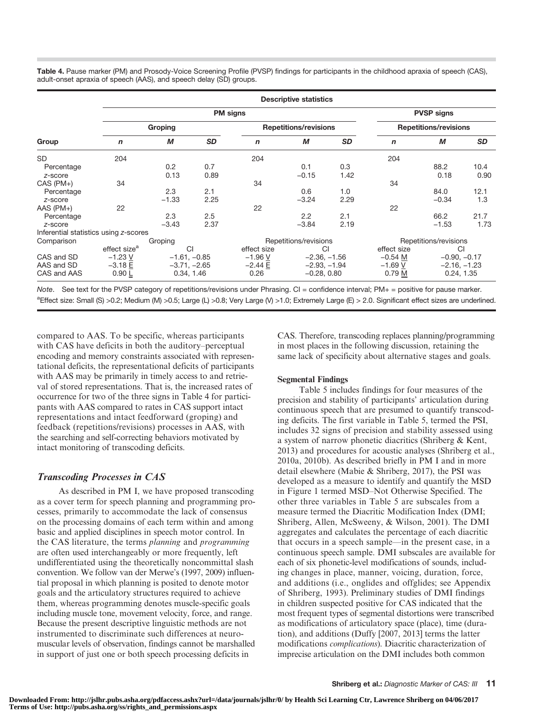Table 4. Pause marker (PM) and Prosody-Voice Screening Profile (PVSP) findings for participants in the childhood apraxia of speech (CAS), adult-onset apraxia of speech (AAS), and speech delay (SD) groups.

|                                       |                          | <b>Descriptive statistics</b> |           |                   |                              |      |              |                              |      |  |  |  |  |  |
|---------------------------------------|--------------------------|-------------------------------|-----------|-------------------|------------------------------|------|--------------|------------------------------|------|--|--|--|--|--|
|                                       |                          |                               |           | <b>PVSP signs</b> |                              |      |              |                              |      |  |  |  |  |  |
|                                       |                          | Groping                       |           |                   | <b>Repetitions/revisions</b> |      |              | <b>Repetitions/revisions</b> |      |  |  |  |  |  |
| Group                                 | $\mathbf n$              | M                             | <b>SD</b> | $\mathbf n$       | М                            | SD   | $\mathsf{n}$ | M                            | SD   |  |  |  |  |  |
| <b>SD</b>                             | 204                      |                               |           | 204               |                              |      | 204          |                              |      |  |  |  |  |  |
| Percentage                            |                          | 0.2                           | 0.7       |                   | 0.1                          | 0.3  |              | 88.2                         | 10.4 |  |  |  |  |  |
| z-score                               |                          | 0.13                          | 0.89      |                   | $-0.15$                      | 1.42 |              | 0.18                         | 0.90 |  |  |  |  |  |
| CAS (PM+)                             | 34                       |                               |           | 34                |                              |      | 34           |                              |      |  |  |  |  |  |
| Percentage                            |                          | 2.3                           | 2.1       |                   | 0.6                          | 1.0  |              | 84.0                         | 12.1 |  |  |  |  |  |
| z-score                               |                          | $-1.33$                       | 2.25      |                   | $-3.24$                      | 2.29 |              | $-0.34$                      | 1.3  |  |  |  |  |  |
| $AAS$ ( $PM+$ )                       | 22                       |                               |           | 22                |                              |      | 22           |                              |      |  |  |  |  |  |
| Percentage                            |                          | 2.3                           | 2.5       |                   | 2.2                          | 2.1  |              | 66.2                         | 21.7 |  |  |  |  |  |
| z-score                               |                          | $-3.43$                       | 2.37      |                   | $-3.84$                      | 2.19 |              | $-1.53$                      | 1.73 |  |  |  |  |  |
| Inferential statistics using z-scores |                          |                               |           |                   |                              |      |              |                              |      |  |  |  |  |  |
| Comparison                            |                          | Groping                       |           |                   | Repetitions/revisions        |      |              | Repetitions/revisions        |      |  |  |  |  |  |
|                                       | effect size <sup>a</sup> | CI                            |           | effect size       | CI                           |      | effect size  | CI                           |      |  |  |  |  |  |
| CAS and SD                            | $-1.23$ V                | $-1.61, -0.85$                |           | $-1.96V$          | $-2.36, -1.56$               |      | $-0.54$ M    | $-0.90, -0.17$               |      |  |  |  |  |  |
| AAS and SD                            | $-3.18 E$                | $-3.71, -2.65$                |           | $-2.44 E$         | $-2.93, -1.94$               |      | $-1.69$ V    | $-2.16, -1.23$               |      |  |  |  |  |  |
| CAS and AAS                           | 0.90L                    | 0.34, 1.46                    |           | 0.26              | $-0.28, 0.80$                |      | 0.79 M       | 0.24, 1.35                   |      |  |  |  |  |  |

Note. See text for the PVSP category of repetitions/revisions under Phrasing. CI = confidence interval; PM+ = positive for pause marker. aEffect size: Small (S) >0.2; Medium (M) >0.5; Large (L) >0.8; Very Large (V) >1.0; Extremely Large (E) > 2.0. Significant effect sizes are underlined.

compared to AAS. To be specific, whereas participants with CAS have deficits in both the auditory–perceptual encoding and memory constraints associated with representational deficits, the representational deficits of participants with AAS may be primarily in timely access to and retrieval of stored representations. That is, the increased rates of occurrence for two of the three signs in Table 4 for participants with AAS compared to rates in CAS support intact representations and intact feedforward (groping) and feedback (repetitions/revisions) processes in AAS, with the searching and self-correcting behaviors motivated by intact monitoring of transcoding deficits.

## Transcoding Processes in CAS

As described in PM I, we have proposed transcoding as a cover term for speech planning and programming processes, primarily to accommodate the lack of consensus on the processing domains of each term within and among basic and applied disciplines in speech motor control. In the CAS literature, the terms planning and programming are often used interchangeably or more frequently, left undifferentiated using the theoretically noncommittal slash convention. We follow van der Merwe's (1997, 2009) influential proposal in which planning is posited to denote motor goals and the articulatory structures required to achieve them, whereas programming denotes muscle-specific goals including muscle tone, movement velocity, force, and range. Because the present descriptive linguistic methods are not instrumented to discriminate such differences at neuromuscular levels of observation, findings cannot be marshalled in support of just one or both speech processing deficits in

CAS. Therefore, transcoding replaces planning/programming in most places in the following discussion, retaining the same lack of specificity about alternative stages and goals.

#### Segmental Findings

Table 5 includes findings for four measures of the precision and stability of participants' articulation during continuous speech that are presumed to quantify transcoding deficits. The first variable in Table 5, termed the PSI, includes 32 signs of precision and stability assessed using a system of narrow phonetic diacritics (Shriberg & Kent, 2013) and procedures for acoustic analyses (Shriberg et al., 2010a, 2010b). As described briefly in PM I and in more detail elsewhere (Mabie & Shriberg, 2017), the PSI was developed as a measure to identify and quantify the MSD in Figure 1 termed MSD–Not Otherwise Specified. The other three variables in Table 5 are subscales from a measure termed the Diacritic Modification Index (DMI; Shriberg, Allen, McSweeny, & Wilson, 2001). The DMI aggregates and calculates the percentage of each diacritic that occurs in a speech sample—in the present case, in a continuous speech sample. DMI subscales are available for each of six phonetic-level modifications of sounds, including changes in place, manner, voicing, duration, force, and additions (i.e., onglides and offglides; see Appendix of Shriberg, 1993). Preliminary studies of DMI findings in children suspected positive for CAS indicated that the most frequent types of segmental distortions were transcribed as modifications of articulatory space (place), time (duration), and additions (Duffy [2007, 2013] terms the latter modifications complications). Diacritic characterization of imprecise articulation on the DMI includes both common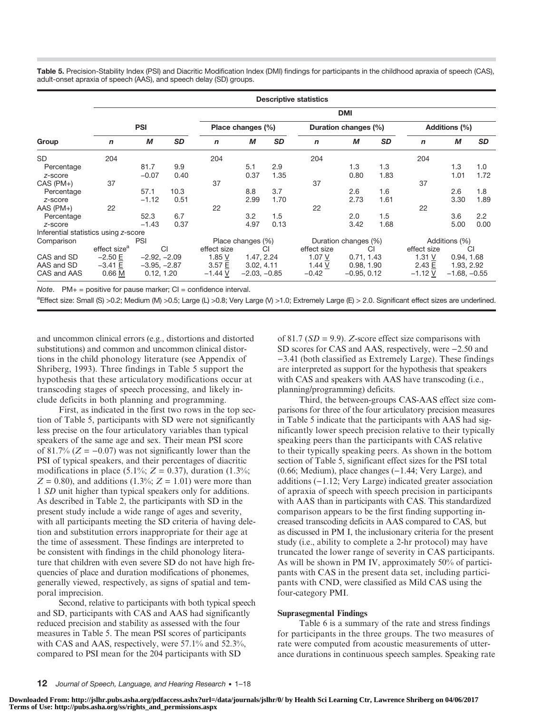Table 5. Precision-Stability Index (PSI) and Diacritic Modification Index (DMI) findings for participants in the childhood apraxia of speech (CAS), adult-onset apraxia of speech (AAS), and speech delay (SD) groups.

|                                      | <b>Descriptive statistics</b> |                |           |             |                   |           |             |                      |           |             |                |           |  |  |
|--------------------------------------|-------------------------------|----------------|-----------|-------------|-------------------|-----------|-------------|----------------------|-----------|-------------|----------------|-----------|--|--|
|                                      | <b>DMI</b>                    |                |           |             |                   |           |             |                      |           |             |                |           |  |  |
|                                      | <b>PSI</b>                    |                |           |             | Place changes (%) |           |             | Duration changes (%) |           |             | Additions (%)  |           |  |  |
| Group                                | $\mathsf{n}$                  | M              | <b>SD</b> | $\mathbf n$ | M                 | <b>SD</b> | $\mathbf n$ | М                    | <b>SD</b> | n           | М              | <b>SD</b> |  |  |
| <b>SD</b>                            | 204                           |                |           | 204         |                   |           | 204         |                      |           | 204         |                |           |  |  |
| Percentage                           |                               | 81.7           | 9.9       |             | 5.1               | 2.9       |             | 1.3                  | 1.3       |             | 1.3            | 1.0       |  |  |
| z-score                              |                               | $-0.07$        | 0.40      |             | 0.37              | 1.35      |             | 0.80                 | 1.83      |             | 1.01           | 1.72      |  |  |
| $CAS (PM+)$                          | 37                            |                |           | 37          |                   |           | 37          |                      |           | 37          |                |           |  |  |
| Percentage                           |                               | 57.1           | 10.3      |             | 8.8               | 3.7       |             | 2.6                  | 1.6       |             | 2.6            | 1.8       |  |  |
| z-score                              |                               | $-1.12$        | 0.51      |             | 2.99              | 1.70      |             | 2.73                 | 1.61      |             | 3.30           | 1.89      |  |  |
| $AAS$ ( $PM+$ )                      | 22                            |                |           | 22          |                   |           | 22          |                      |           | 22          |                |           |  |  |
| Percentage                           |                               | 52.3           | 6.7       |             | 3.2               | 1.5       |             | 2.0                  | 1.5       |             | 3.6            | 2.2       |  |  |
| z-score                              |                               | $-1.43$        | 0.37      |             | 4.97              | 0.13      |             | 3.42                 | 1.68      |             | 5.00           | 0.00      |  |  |
| Inferential statistics using z-score |                               |                |           |             |                   |           |             |                      |           |             |                |           |  |  |
| Comparison                           |                               | <b>PSI</b>     |           |             | Place changes (%) |           |             | Duration changes (%) |           |             | Additions (%)  |           |  |  |
|                                      | effect size <sup>a</sup>      |                | <b>CI</b> | effect size |                   | CI        | effect size |                      | CI        | effect size |                | CI        |  |  |
| CAS and SD                           | $-2.50 E$                     | $-2.92, -2.09$ |           | 1.85 $V$    | 1.47, 2.24        |           | 1.07 V      | 0.71, 1.43           |           | 1.31V       | 0.94, 1.68     |           |  |  |
| AAS and SD                           | $-3.41 E$                     | $-3.95, -2.87$ |           | 3.57 E      | 3.02, 4.11        |           | 1.44 V      | 0.98, 1.90           |           | 2.43 E      | 1.93, 2.92     |           |  |  |
| CAS and AAS                          | 0.66 M                        | 0.12, 1.20     |           | $-1.44$ V   | $-2.03, -0.85$    |           | $-0.42$     | $-0.95, 0.12$        |           | $-1.12V$    | $-1.68, -0.55$ |           |  |  |

Note.  $PM+$  = positive for pause marker;  $CI =$  confidence interval.

aEffect size: Small (S) >0.2; Medium (M) >0.5; Large (L) >0.8; Very Large (V) >1.0; Extremely Large (E) > 2.0. Significant effect sizes are underlined.

and uncommon clinical errors (e.g., distortions and distorted substitutions) and common and uncommon clinical distortions in the child phonology literature (see Appendix of Shriberg, 1993). Three findings in Table 5 support the hypothesis that these articulatory modifications occur at transcoding stages of speech processing, and likely include deficits in both planning and programming.

First, as indicated in the first two rows in the top section of Table 5, participants with SD were not significantly less precise on the four articulatory variables than typical speakers of the same age and sex. Their mean PSI score of 81.7% ( $Z = -0.07$ ) was not significantly lower than the PSI of typical speakers, and their percentages of diacritic modifications in place (5.1%;  $Z = 0.37$ ), duration (1.3%;  $Z = 0.80$ , and additions (1.3%;  $Z = 1.01$ ) were more than 1 SD unit higher than typical speakers only for additions. As described in Table 2, the participants with SD in the present study include a wide range of ages and severity, with all participants meeting the SD criteria of having deletion and substitution errors inappropriate for their age at the time of assessment. These findings are interpreted to be consistent with findings in the child phonology literature that children with even severe SD do not have high frequencies of place and duration modifications of phonemes, generally viewed, respectively, as signs of spatial and temporal imprecision.

Second, relative to participants with both typical speech and SD, participants with CAS and AAS had significantly reduced precision and stability as assessed with the four measures in Table 5. The mean PSI scores of participants with CAS and AAS, respectively, were 57.1% and 52.3%, compared to PSI mean for the 204 participants with SD

of 81.7 ( $SD = 9.9$ ). Z-score effect size comparisons with SD scores for CAS and AAS, respectively, were −2.50 and −3.41 (both classified as Extremely Large). These findings are interpreted as support for the hypothesis that speakers with CAS and speakers with AAS have transcoding (i.e., planning/programming) deficits.

Third, the between-groups CAS-AAS effect size comparisons for three of the four articulatory precision measures in Table 5 indicate that the participants with AAS had significantly lower speech precision relative to their typically speaking peers than the participants with CAS relative to their typically speaking peers. As shown in the bottom section of Table 5, significant effect sizes for the PSI total (0.66; Medium), place changes (−1.44; Very Large), and additions (−1.12; Very Large) indicated greater association of apraxia of speech with speech precision in participants with AAS than in participants with CAS. This standardized comparison appears to be the first finding supporting increased transcoding deficits in AAS compared to CAS, but as discussed in PM I, the inclusionary criteria for the present study (i.e., ability to complete a 2-hr protocol) may have truncated the lower range of severity in CAS participants. As will be shown in PM IV, approximately 50% of participants with CAS in the present data set, including participants with CND, were classified as Mild CAS using the four-category PMI.

#### Suprasegmental Findings

Table 6 is a summary of the rate and stress findings for participants in the three groups. The two measures of rate were computed from acoustic measurements of utterance durations in continuous speech samples. Speaking rate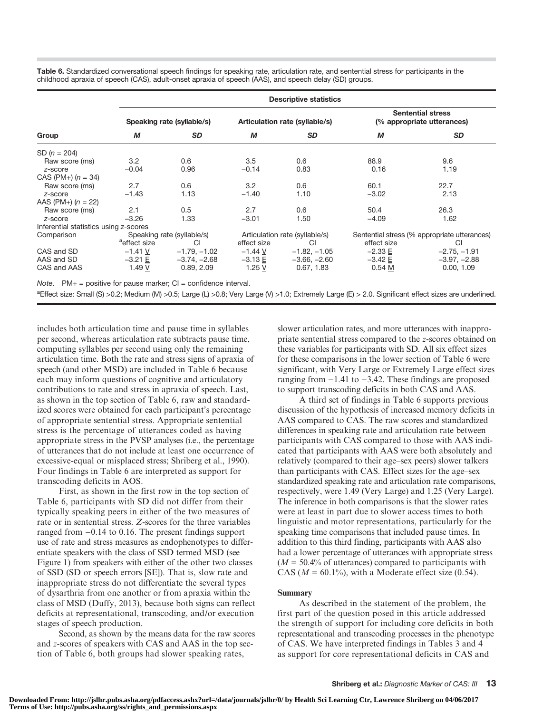Table 6. Standardized conversational speech findings for speaking rate, articulation rate, and sentential stress for participants in the childhood apraxia of speech (CAS), adult-onset apraxia of speech (AAS), and speech delay (SD) groups.

|                                       | <b>Descriptive statistics</b> |                            |             |                                |                                                        |                                              |  |  |  |  |  |  |
|---------------------------------------|-------------------------------|----------------------------|-------------|--------------------------------|--------------------------------------------------------|----------------------------------------------|--|--|--|--|--|--|
|                                       |                               | Speaking rate (syllable/s) |             | Articulation rate (syllable/s) | <b>Sentential stress</b><br>(% appropriate utterances) |                                              |  |  |  |  |  |  |
| Group                                 | М                             | <b>SD</b>                  | М           | <b>SD</b>                      | M                                                      | <b>SD</b>                                    |  |  |  |  |  |  |
| SD $(n = 204)$                        |                               |                            |             |                                |                                                        |                                              |  |  |  |  |  |  |
| Raw score (ms)                        | 3.2                           | 0.6                        | 3.5         | 0.6                            | 88.9                                                   | 9.6                                          |  |  |  |  |  |  |
| z-score                               | $-0.04$                       | 0.96                       | $-0.14$     | 0.83                           | 0.16                                                   | 1.19                                         |  |  |  |  |  |  |
| CAS (PM+) $(n = 34)$                  |                               |                            |             |                                |                                                        |                                              |  |  |  |  |  |  |
| Raw score (ms)                        | 2.7                           | 0.6                        | 3.2         | 0.6                            | 60.1                                                   | 22.7                                         |  |  |  |  |  |  |
| z-score                               | $-1.43$                       | 1.13                       | $-1.40$     | 1.10                           | $-3.02$                                                | 2.13                                         |  |  |  |  |  |  |
| AAS (PM+) $(n = 22)$                  |                               |                            |             |                                |                                                        |                                              |  |  |  |  |  |  |
| Raw score (ms)                        | 2.1                           | 0.5                        | 2.7         | 0.6                            | 50.4                                                   | 26.3                                         |  |  |  |  |  |  |
| z-score                               | $-3.26$                       | 1.33                       | $-3.01$     | 1.50                           | $-4.09$                                                | 1.62                                         |  |  |  |  |  |  |
| Inferential statistics using z-scores |                               |                            |             |                                |                                                        |                                              |  |  |  |  |  |  |
| Comparison                            |                               | Speaking rate (syllable/s) |             | Articulation rate (syllable/s) |                                                        | Sentential stress (% appropriate utterances) |  |  |  |  |  |  |
|                                       | <sup>a</sup> effect size      | CI                         | effect size | CI                             | effect size                                            | CI                                           |  |  |  |  |  |  |
| CAS and SD                            | $-1.41$ V                     | $-1.79, -1.02$             | $-1.44$ V   | $-1.82, -1.05$                 | $-2.33 E$                                              | $-2.75, -1.91$                               |  |  |  |  |  |  |
| AAS and SD                            | $-3.21 E$                     | $-3.74, -2.68$             | $-3.13 E$   | $-3.66, -2.60$                 | $-3.42 E$                                              | $-3.97, -2.88$                               |  |  |  |  |  |  |
| CAS and AAS                           | 1.49 V                        | 0.89, 2.09                 | 1.25V       | 0.67, 1.83                     | 0.54 <sub>M</sub>                                      | 0.00, 1.09                                   |  |  |  |  |  |  |

Note.  $PM+$  = positive for pause marker;  $CI =$  confidence interval.

aEffect size: Small (S) >0.2; Medium (M) >0.5; Large (L) >0.8; Very Large (V) >1.0; Extremely Large (E) > 2.0. Significant effect sizes are underlined.

includes both articulation time and pause time in syllables per second, whereas articulation rate subtracts pause time, computing syllables per second using only the remaining articulation time. Both the rate and stress signs of apraxia of speech (and other MSD) are included in Table 6 because each may inform questions of cognitive and articulatory contributions to rate and stress in apraxia of speech. Last, as shown in the top section of Table 6, raw and standardized scores were obtained for each participant's percentage of appropriate sentential stress. Appropriate sentential stress is the percentage of utterances coded as having appropriate stress in the PVSP analyses (i.e., the percentage of utterances that do not include at least one occurrence of excessive-equal or misplaced stress; Shriberg et al., 1990). Four findings in Table 6 are interpreted as support for transcoding deficits in AOS.

First, as shown in the first row in the top section of Table 6, participants with SD did not differ from their typically speaking peers in either of the two measures of rate or in sentential stress. Z-scores for the three variables ranged from −0.14 to 0.16. The present findings support use of rate and stress measures as endophenotypes to differentiate speakers with the class of SSD termed MSD (see Figure 1) from speakers with either of the other two classes of SSD (SD or speech errors [SE]). That is, slow rate and inappropriate stress do not differentiate the several types of dysarthria from one another or from apraxia within the class of MSD (Duffy, 2013), because both signs can reflect deficits at representational, transcoding, and/or execution stages of speech production.

Second, as shown by the means data for the raw scores and z-scores of speakers with CAS and AAS in the top section of Table 6, both groups had slower speaking rates,

slower articulation rates, and more utterances with inappropriate sentential stress compared to the z-scores obtained on these variables for participants with SD. All six effect sizes for these comparisons in the lower section of Table 6 were significant, with Very Large or Extremely Large effect sizes ranging from −1.41 to −3.42. These findings are proposed to support transcoding deficits in both CAS and AAS.

A third set of findings in Table 6 supports previous discussion of the hypothesis of increased memory deficits in AAS compared to CAS. The raw scores and standardized differences in speaking rate and articulation rate between participants with CAS compared to those with AAS indicated that participants with AAS were both absolutely and relatively (compared to their age–sex peers) slower talkers than participants with CAS. Effect sizes for the age–sex standardized speaking rate and articulation rate comparisons, respectively, were 1.49 (Very Large) and 1.25 (Very Large). The inference in both comparisons is that the slower rates were at least in part due to slower access times to both linguistic and motor representations, particularly for the speaking time comparisons that included pause times. In addition to this third finding, participants with AAS also had a lower percentage of utterances with appropriate stress  $(M = 50.4\%$  of utterances) compared to participants with CAS ( $M = 60.1\%$ ), with a Moderate effect size (0.54).

#### Summary

As described in the statement of the problem, the first part of the question posed in this article addressed the strength of support for including core deficits in both representational and transcoding processes in the phenotype of CAS. We have interpreted findings in Tables 3 and 4 as support for core representational deficits in CAS and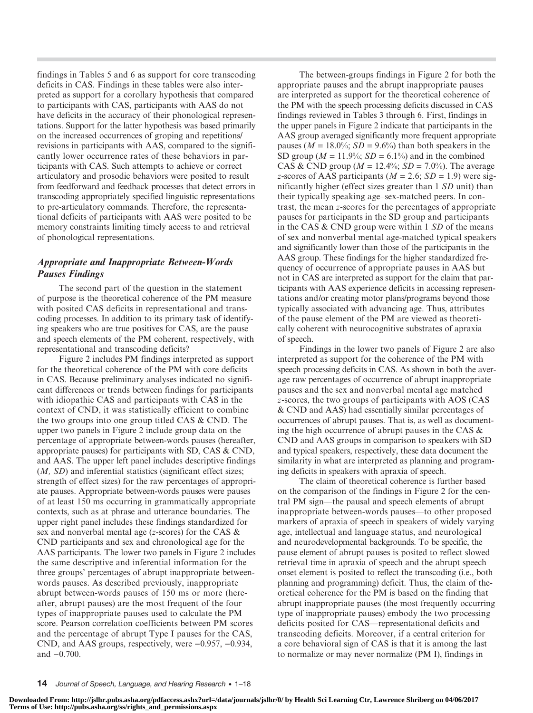findings in Tables 5 and 6 as support for core transcoding deficits in CAS. Findings in these tables were also interpreted as support for a corollary hypothesis that compared to participants with CAS, participants with AAS do not have deficits in the accuracy of their phonological representations. Support for the latter hypothesis was based primarily on the increased occurrences of groping and repetitions/ revisions in participants with AAS, compared to the significantly lower occurrence rates of these behaviors in participants with CAS. Such attempts to achieve or correct articulatory and prosodic behaviors were posited to result from feedforward and feedback processes that detect errors in transcoding appropriately specified linguistic representations to pre-articulatory commands. Therefore, the representational deficits of participants with AAS were posited to be memory constraints limiting timely access to and retrieval of phonological representations.

## Appropriate and Inappropriate Between-Words Pauses Findings

The second part of the question in the statement of purpose is the theoretical coherence of the PM measure with posited CAS deficits in representational and transcoding processes. In addition to its primary task of identifying speakers who are true positives for CAS, are the pause and speech elements of the PM coherent, respectively, with representational and transcoding deficits?

Figure 2 includes PM findings interpreted as support for the theoretical coherence of the PM with core deficits in CAS. Because preliminary analyses indicated no significant differences or trends between findings for participants with idiopathic CAS and participants with CAS in the context of CND, it was statistically efficient to combine the two groups into one group titled CAS & CND. The upper two panels in Figure 2 include group data on the percentage of appropriate between-words pauses (hereafter, appropriate pauses) for participants with SD, CAS & CND, and AAS. The upper left panel includes descriptive findings (*M*, *SD*) and inferential statistics (significant effect sizes; strength of effect sizes) for the raw percentages of appropriate pauses. Appropriate between-words pauses were pauses of at least 150 ms occurring in grammatically appropriate contexts, such as at phrase and utterance boundaries. The upper right panel includes these findings standardized for sex and nonverbal mental age ( $z$ -scores) for the CAS  $\&$ CND participants and sex and chronological age for the AAS participants. The lower two panels in Figure 2 includes the same descriptive and inferential information for the three groups' percentages of abrupt inappropriate betweenwords pauses. As described previously, inappropriate abrupt between-words pauses of 150 ms or more (hereafter, abrupt pauses) are the most frequent of the four types of inappropriate pauses used to calculate the PM score. Pearson correlation coefficients between PM scores and the percentage of abrupt Type I pauses for the CAS, CND, and AAS groups, respectively, were −0.957, −0.934, and −0.700.

The between-groups findings in Figure 2 for both the appropriate pauses and the abrupt inappropriate pauses are interpreted as support for the theoretical coherence of the PM with the speech processing deficits discussed in CAS findings reviewed in Tables 3 through 6. First, findings in the upper panels in Figure 2 indicate that participants in the AAS group averaged significantly more frequent appropriate pauses ( $M = 18.0\%$ ;  $SD = 9.6\%$ ) than both speakers in the SD group ( $M = 11.9\%$ ; SD = 6.1%) and in the combined CAS & CND group ( $M = 12.4\%$ ;  $SD = 7.0\%$ ). The average z-scores of AAS participants ( $M = 2.6$ ;  $SD = 1.9$ ) were significantly higher (effect sizes greater than 1 SD unit) than their typically speaking age–sex-matched peers. In contrast, the mean z-scores for the percentages of appropriate pauses for participants in the SD group and participants in the CAS  $&$  CND group were within 1  $SD$  of the means of sex and nonverbal mental age-matched typical speakers and significantly lower than those of the participants in the AAS group. These findings for the higher standardized frequency of occurrence of appropriate pauses in AAS but not in CAS are interpreted as support for the claim that participants with AAS experience deficits in accessing representations and/or creating motor plans/programs beyond those typically associated with advancing age. Thus, attributes of the pause element of the PM are viewed as theoretically coherent with neurocognitive substrates of apraxia of speech.

Findings in the lower two panels of Figure 2 are also interpreted as support for the coherence of the PM with speech processing deficits in CAS. As shown in both the average raw percentages of occurrence of abrupt inappropriate pauses and the sex and nonverbal mental age matched z-scores, the two groups of participants with AOS (CAS & CND and AAS) had essentially similar percentages of occurrences of abrupt pauses. That is, as well as documenting the high occurrence of abrupt pauses in the CAS & CND and AAS groups in comparison to speakers with SD and typical speakers, respectively, these data document the similarity in what are interpreted as planning and programing deficits in speakers with apraxia of speech.

The claim of theoretical coherence is further based on the comparison of the findings in Figure 2 for the central PM sign—the pausal and speech elements of abrupt inappropriate between-words pauses—to other proposed markers of apraxia of speech in speakers of widely varying age, intellectual and language status, and neurological and neurodevelopmental backgrounds. To be specific, the pause element of abrupt pauses is posited to reflect slowed retrieval time in apraxia of speech and the abrupt speech onset element is posited to reflect the transcoding (i.e., both planning and programming) deficit. Thus, the claim of theoretical coherence for the PM is based on the finding that abrupt inappropriate pauses (the most frequently occurring type of inappropriate pauses) embody the two processing deficits posited for CAS—representational deficits and transcoding deficits. Moreover, if a central criterion for a core behavioral sign of CAS is that it is among the last to normalize or may never normalize (PM I), findings in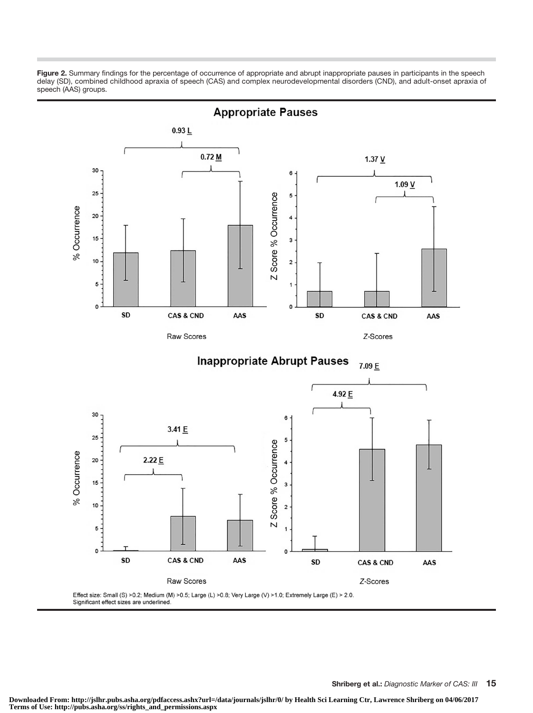Figure 2. Summary findings for the percentage of occurrence of appropriate and abrupt inappropriate pauses in participants in the speech delay (SD), combined childhood apraxia of speech (CAS) and complex neurodevelopmental disorders (CND), and adult-onset apraxia of speech (AAS) groups.

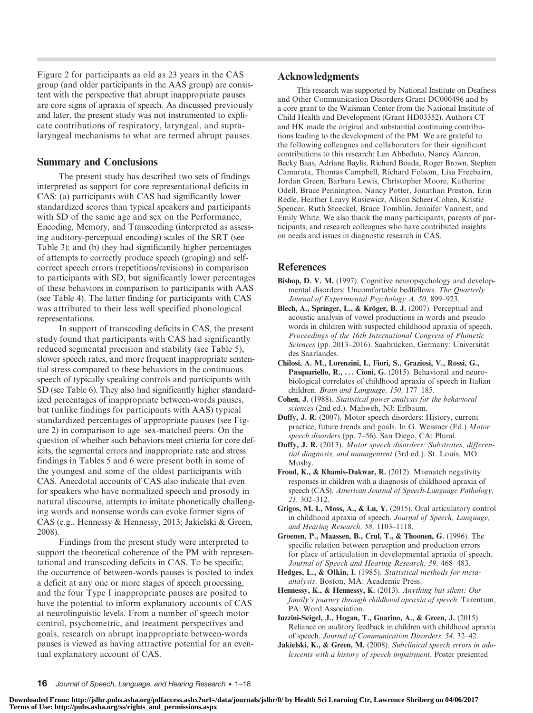Figure 2 for participants as old as 23 years in the CAS group (and older participants in the AAS group) are consistent with the perspective that abrupt inappropriate pauses are core signs of apraxia of speech. As discussed previously and later, the present study was not instrumented to explicate contributions of respiratory, laryngeal, and supralaryngeal mechanisms to what are termed abrupt pauses.

## Summary and Conclusions

The present study has described two sets of findings interpreted as support for core representational deficits in CAS: (a) participants with CAS had significantly lower standardized scores than typical speakers and participants with SD of the same age and sex on the Performance, Encoding, Memory, and Transcoding (interpreted as assessing auditory-perceptual encoding) scales of the SRT (see Table 3); and (b) they had significantly higher percentages of attempts to correctly produce speech (groping) and selfcorrect speech errors (repetitions/revisions) in comparison to participants with SD, but significantly lower percentages of these behaviors in comparison to participants with AAS (see Table 4). The latter finding for participants with CAS was attributed to their less well specified phonological representations.

In support of transcoding deficits in CAS, the present study found that participants with CAS had significantly reduced segmental precision and stability (see Table 5), slower speech rates, and more frequent inappropriate sentential stress compared to these behaviors in the continuous speech of typically speaking controls and participants with SD (see Table 6). They also had significantly higher standardized percentages of inappropriate between-words pauses, but (unlike findings for participants with AAS) typical standardized percentages of appropriate pauses (see Figure 2) in comparison to age–sex-matched peers. On the question of whether such behaviors meet criteria for core deficits, the segmental errors and inappropriate rate and stress findings in Tables 5 and 6 were present both in some of the youngest and some of the oldest participants with CAS. Anecdotal accounts of CAS also indicate that even for speakers who have normalized speech and prosody in natural discourse, attempts to imitate phonetically challenging words and nonsense words can evoke former signs of CAS (e.g., Hennessy & Hennessy, 2013; Jakielski & Green, 2008).

Findings from the present study were interpreted to support the theoretical coherence of the PM with representational and transcoding deficits in CAS. To be specific, the occurrence of between-words pauses is posited to index a deficit at any one or more stages of speech processing, and the four Type I inappropriate pauses are posited to have the potential to inform explanatory accounts of CAS at neurolinguistic levels. From a number of speech motor control, psychometric, and treatment perspectives and goals, research on abrupt inappropriate between-words pauses is viewed as having attractive potential for an eventual explanatory account of CAS.

## Acknowledgments

This research was supported by National Institute on Deafness and Other Communication Disorders Grant DC000496 and by a core grant to the Waisman Center from the National Institute of Child Health and Development (Grant HD03352). Authors CT and HK made the original and substantial continuing contributions leading to the development of the PM. We are grateful to the following colleagues and collaborators for their significant contributions to this research: Len Abbeduto, Nancy Alarcon, Becky Baas, Adriane Baylis, Richard Boada, Roger Brown, Stephen Camarata, Thomas Campbell, Richard Folsom, Lisa Freebairn, Jordan Green, Barbara Lewis, Christopher Moore, Katherine Odell, Bruce Pennington, Nancy Potter, Jonathan Preston, Erin Redle, Heather Leavy Rusiewicz, Alison Scheer-Cohen, Kristie Spencer, Ruth Stoeckel, Bruce Tomblin, Jennifer Vannest, and Emily White. We also thank the many participants, parents of participants, and research colleagues who have contributed insights on needs and issues in diagnostic research in CAS.

## References

- Bishop, D. V. M. (1997). Cognitive neuropsychology and developmental disorders: Uncomfortable bedfellows. The Quarterly Journal of Experimental Psychology A, 50, 899–923.
- Blech, A., Springer, L., & Kröger, B. J. (2007). Perceptual and acoustic analysis of vowel productions in words and pseudo words in children with suspected childhood apraxia of speech. Proceedings of the 16th International Congress of Phonetic Sciences (pp. 2013–2016). Saabrücken, Germany: Universität des Saarlandes.
- Chilosi, A. M., Lorenzini, I., Fiori, S., Graziosi, V., Rossi, G., Pasquariello, R., ... Cioni, G. (2015). Behavioral and neurobiological correlates of childhood apraxia of speech in Italian children. Brain and Language, 150, 177–185.
- Cohen, J. (1988). Statistical power analysis for the behavioral sciences (2nd ed.). Mahweh, NJ: Erlbaum.
- Duffy, J. R. (2007). Motor speech disorders: History, current practice, future trends and goals. In G. Weismer (Ed.) Motor speech disorders (pp. 7–56). San Diego, CA: Plural.
- Duffy, J. R. (2013). Motor speech disorders: Substrates, differential diagnosis, and management (3rd ed.). St. Louis, MO: Mosby.
- Froud, K., & Khamis-Dakwar, R. (2012). Mismatch negativity responses in children with a diagnosis of childhood apraxia of speech (CAS). American Journal of Speech-Language Pathology, 21, 302–312.
- Grigos, M. I., Moss, A., & Lu, Y. (2015). Oral articulatory control in childhood apraxia of speech. Journal of Speech, Language, and Hearing Research, 58, 1103–1118.

Groenen, P., Maassen, B., Crul, T., & Thoonen, G. (1996). The specific relation between perception and production errors for place of articulation in developmental apraxia of speech. Journal of Speech and Hearing Research, 39, 468–483.

- Hedges, L., & Olkin, I. (1985). Statistical methods for metaanalysis. Boston, MA: Academic Press.
- Hennessy, K., & Hennessy, K. (2013). Anything but silent: Our family*'*s journey through childhood apraxia of speech. Tarentum, PA: Word Association.
- Iuzzini-Seigel, J., Hogan, T., Guarino, A., & Green, J. (2015). Reliance on auditory feedback in children with childhood apraxia of speech. Journal of Communication Disorders, 54, 32–42.
- Jakielski, K., & Green, M. (2008). Subclinical speech errors in adolescents with a history of speech impairment. Poster presented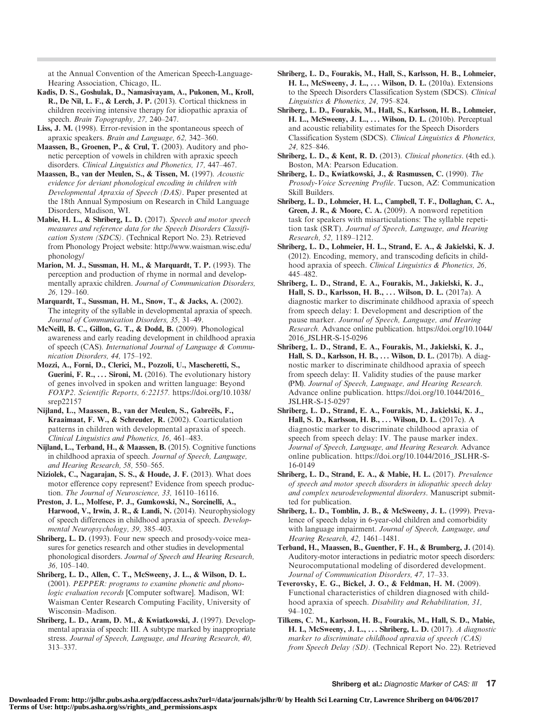at the Annual Convention of the American Speech-Language-Hearing Association, Chicago, IL.

- Kadis, D. S., Goshulak, D., Namasivayam, A., Pukonen, M., Kroll, R., De Nil, L. F., & Lerch, J. P. (2013). Cortical thickness in children receiving intensive therapy for idiopathic apraxia of speech. Brain Topography, 27, 240–247.
- Liss, J. M. (1998). Error-revision in the spontaneous speech of apraxic speakers. Brain and Language, 62, 342–360.
- Maassen, B., Groenen, P., & Crul, T. (2003). Auditory and phonetic perception of vowels in children with apraxic speech disorders. Clinical Linguistics and Phonetics, 17, 447–467.
- Maassen, B., van der Meulen, S., & Tissen, M. (1997). Acoustic evidence for deviant phonological encoding in children with Developmental Apraxia of Speech (DAS). Paper presented at the 18th Annual Symposium on Research in Child Language Disorders, Madison, WI.
- Mabie, H. L., & Shriberg, L. D. (2017). Speech and motor speech measures and reference data for the Speech Disorders Classification System (SDCS). (Technical Report No. 23). Retrieved from Phonology Project website: http://www.waisman.wisc.edu/ phonology/
- Marion, M. J., Sussman, H. M., & Marquardt, T. P. (1993). The perception and production of rhyme in normal and developmentally apraxic children. Journal of Communication Disorders, 26, 129–160.
- Marquardt, T., Sussman, H. M., Snow, T., & Jacks, A. (2002). The integrity of the syllable in developmental apraxia of speech. Journal of Communication Disorders, 35, 31–49.
- McNeill, B. C., Gillon, G. T., & Dodd, B. (2009). Phonological awareness and early reading development in childhood apraxia of speech (CAS). International Journal of Language & Communication Disorders, 44, 175–192.
- Mozzi, A., Forni, D., Clerici, M., Pozzoli, U., Mascheretti, S., Guerini, F. R., ... Sironi, M. (2016). The evolutionary history of genes involved in spoken and written language: Beyond FOXP2. Scientific Reports, 6:22157. https://doi.org/10.1038/ srep22157
- Nijland, L., Maassen, B., van der Meulen, S., Gabreëls, F., Kraaimaat, F. W., & Schreuder, R. (2002). Coarticulation patterns in children with developmental apraxia of speech. Clinical Linguistics and Phonetics, 16, 461–483.
- Nijland, L., Terband, H., & Maassen, B. (2015). Cognitive functions in childhood apraxia of speech. Journal of Speech, Language, and Hearing Research, 58, 550–565.
- Niziolek, C., Nagarajan, S. S., & Houde, J. F. (2013). What does motor efference copy represent? Evidence from speech production. The Journal of Neuroscience, 33, 16110–16116.
- Preston, J. L., Molfese, P. J., Gumkowski, N., Sorcinelli, A., Harwood, V., Irwin, J. R., & Landi, N. (2014). Neurophysiology of speech differences in childhood apraxia of speech. Developmental Neuropsychology, 39, 385–403.
- Shriberg, L. D. (1993). Four new speech and prosody-voice measures for genetics research and other studies in developmental phonological disorders. Journal of Speech and Hearing Research, 36, 105–140.
- Shriberg, L. D., Allen, C. T., McSweeny, J. L., & Wilson, D. L. (2001). PEPPER: programs to examine phonetic and phonologic evaluation records [Computer software]. Madison, WI: Waisman Center Research Computing Facility, University of Wisconsin–Madison.
- Shriberg, L. D., Aram, D. M., & Kwiatkowski, J. (1997). Developmental apraxia of speech: III. A subtype marked by inappropriate stress. Journal of Speech, Language, and Hearing Research, 40, 313–337.
- Shriberg, L. D., Fourakis, M., Hall, S., Karlsson, H. B., Lohmeier, H. L., McSweeny, J. L., ... Wilson, D. L. (2010a). Extensions to the Speech Disorders Classification System (SDCS). Clinical Linguistics & Phonetics, 24, 795–824.
- Shriberg, L. D., Fourakis, M., Hall, S., Karlsson, H. B., Lohmeier, H. L., McSweeny, J. L., ... Wilson, D. L. (2010b). Perceptual and acoustic reliability estimates for the Speech Disorders Classification System (SDCS). Clinical Linguistics & Phonetics, 24, 825–846.
- Shriberg, L. D., & Kent, R. D. (2013). Clinical phonetics. (4th ed.). Boston, MA: Pearson Education.
- Shriberg, L. D., Kwiatkowski, J., & Rasmussen, C. (1990). The Prosody-Voice Screening Profile. Tucson, AZ: Communication Skill Builders.
- Shriberg, L. D., Lohmeier, H. L., Campbell, T. F., Dollaghan, C. A., Green, J. R., & Moore, C. A. (2009). A nonword repetition task for speakers with misarticulations: The syllable repetition task (SRT). Journal of Speech, Language, and Hearing Research, 52, 1189–1212.
- Shriberg, L. D., Lohmeier, H. L., Strand, E. A., & Jakielski, K. J. (2012). Encoding, memory, and transcoding deficits in childhood apraxia of speech. Clinical Linguistics & Phonetics, 26, 445–482.
- Shriberg, L. D., Strand, E. A., Fourakis, M., Jakielski, K. J., Hall, S. D., Karlsson, H. B., ... Wilson, D. L. (2017a). A diagnostic marker to discriminate childhood apraxia of speech from speech delay: I. Development and description of the pause marker. Journal of Speech, Language, and Hearing Research. Advance online publication. https://doi.org/10.1044/ 2016\_JSLHR-S-15-0296
- Shriberg, L. D., Strand, E. A., Fourakis, M., Jakielski, K. J., Hall, S. D., Karlsson, H. B., ... Wilson, D. L. (2017b). A diagnostic marker to discriminate childhood apraxia of speech from speech delay: II. Validity studies of the pause marker (PM). Journal of Speech, Language, and Hearing Research. Advance online publication. https://doi.org/10.1044/2016\_ JSLHR-S-15-0297
- Shriberg, L. D., Strand, E. A., Fourakis, M., Jakielski, K. J., Hall, S. D., Karlsson, H. B., . . . Wilson, D. L. (2017c). A diagnostic marker to discriminate childhood apraxia of speech from speech delay: IV. The pause marker index. Journal of Speech, Language, and Hearing Research. Advance online publication. https://doi.org/10.1044/2016\_JSLHR-S-16-0149
- Shriberg, L. D., Strand, E. A., & Mabie, H. L. (2017). Prevalence of speech and motor speech disorders in idiopathic speech delay and complex neurodevelopmental disorders. Manuscript submitted for publication.
- Shriberg, L. D., Tomblin, J. B., & McSweeny, J. L. (1999). Prevalence of speech delay in 6-year-old children and comorbidity with language impairment. Journal of Speech, Language, and Hearing Research, 42, 1461–1481.
- Terband, H., Maassen, B., Guenther, F. H., & Brumberg, J. (2014). Auditory-motor interactions in pediatric motor speech disorders: Neurocomputational modeling of disordered development. Journal of Communication Disorders, 47, 17–33.
- Teverovsky, E. G., Bickel, J. O., & Feldman, H. M. (2009). Functional characteristics of children diagnosed with childhood apraxia of speech. Disability and Rehabilitation, 31, 94–102.
- Tilkens, C. M., Karlsson, H. B., Fourakis, M., Hall, S. D., Mabie, H. L, McSweeny, J. L., ... Shriberg, L. D. (2017). A diagnostic marker to discriminate childhood apraxia of speech (CAS) from Speech Delay (SD). (Technical Report No. 22). Retrieved